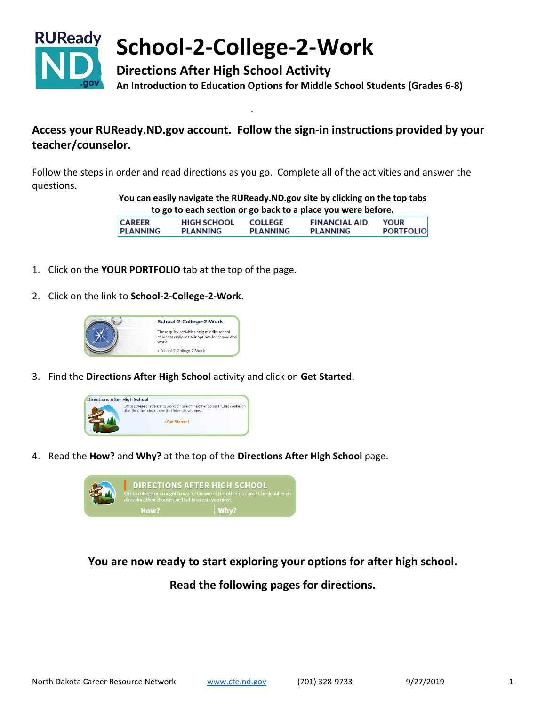

# **School-2-College-2-Work**

**Directions After High School Activity An Introduction to Education Options for Middle School Students (Grades 6-8)**

## **Access your RUReady.ND.gov account. Follow the sign-in instructions provided by your teacher/counselor.**

Follow the steps in order and read directions as you go. Complete all of the activities and answer the questions.

> **You can easily navigate the RUReady.ND.gov site by clicking on the top tabs to go to each section or go back to a place you were before.**

| <b>CAREER</b>   | <b>HIGH SCHOOL</b> | <b>COLLEGE</b>  | <b>FINANCIAL AID</b> | <b>YOUR</b>      |
|-----------------|--------------------|-----------------|----------------------|------------------|
| <b>PLANNING</b> | <b>PLANNING</b>    | <b>PLANNING</b> | <b>PLANNING</b>      | <b>PORTFOLIO</b> |

- 1. Click on the **YOUR PORTFOLIO** tab at the top of the page.
- 2. Click on the link to **School-2-College-2-Work**.



3. Find the **Directions After High School** activity and click on **Get Started**.



4. Read the **How?** and **Why?** at the top of the **Directions After High School** page.



**You are now ready to start exploring your options for after high school.**

**Read the following pages for directions.**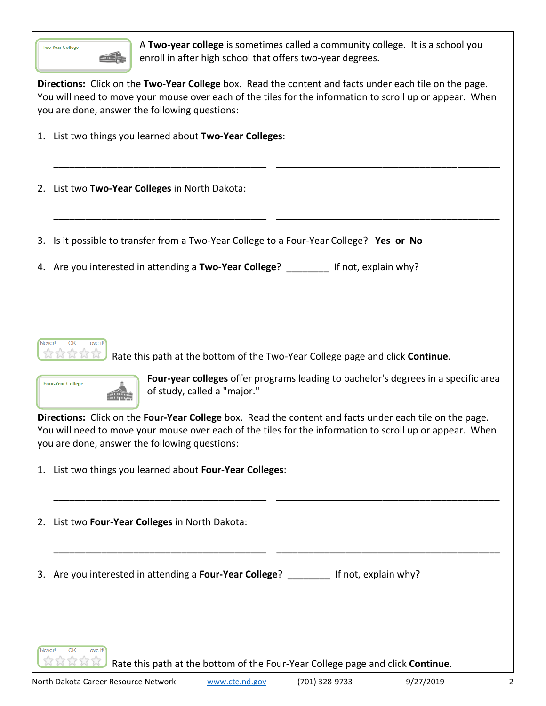| A Two-year college is sometimes called a community college. It is a school you<br><b>Two-Year College</b><br>enroll in after high school that offers two-year degrees.                                                                                               |  |  |  |  |
|----------------------------------------------------------------------------------------------------------------------------------------------------------------------------------------------------------------------------------------------------------------------|--|--|--|--|
| Directions: Click on the Two-Year College box. Read the content and facts under each tile on the page.<br>You will need to move your mouse over each of the tiles for the information to scroll up or appear. When<br>you are done, answer the following questions:  |  |  |  |  |
| 1. List two things you learned about Two-Year Colleges:                                                                                                                                                                                                              |  |  |  |  |
| 2. List two Two-Year Colleges in North Dakota:                                                                                                                                                                                                                       |  |  |  |  |
| 3. Is it possible to transfer from a Two-Year College to a Four-Year College? Yes or No                                                                                                                                                                              |  |  |  |  |
| 4. Are you interested in attending a Two-Year College? If not, explain why?                                                                                                                                                                                          |  |  |  |  |
| OK<br>Love it!<br>Never!<br>Rate this path at the bottom of the Two-Year College page and click Continue.                                                                                                                                                            |  |  |  |  |
| Four-year colleges offer programs leading to bachelor's degrees in a specific area<br><b>Four-Year College</b><br>of study, called a "major."                                                                                                                        |  |  |  |  |
| Directions: Click on the Four-Year College box. Read the content and facts under each tile on the page.<br>You will need to move your mouse over each of the tiles for the information to scroll up or appear. When<br>you are done, answer the following questions: |  |  |  |  |
| 1. List two things you learned about Four-Year Colleges:                                                                                                                                                                                                             |  |  |  |  |
| List two Four-Year Colleges in North Dakota:<br>2.                                                                                                                                                                                                                   |  |  |  |  |
| Are you interested in attending a Four-Year College? ________ If not, explain why?<br>3.                                                                                                                                                                             |  |  |  |  |
|                                                                                                                                                                                                                                                                      |  |  |  |  |
| <b>OK</b><br>Love it!<br>Never!<br>ななななな<br>Rate this path at the bottom of the Four-Year College page and click Continue.                                                                                                                                           |  |  |  |  |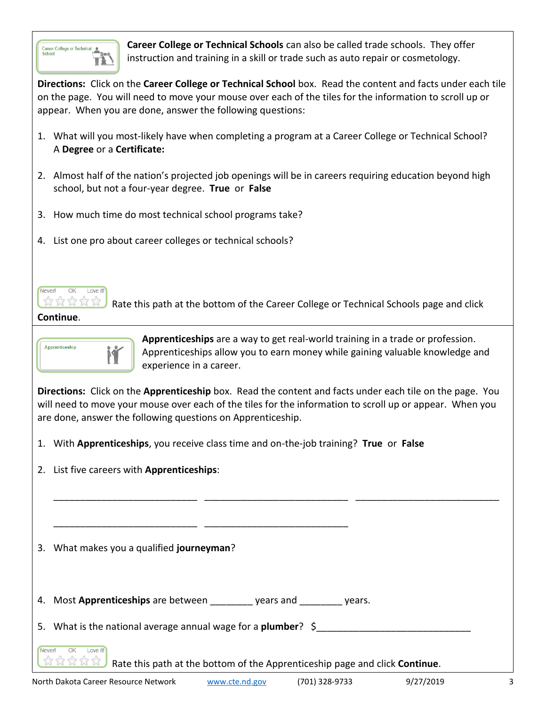

**Career College or Technical Schools** can also be called trade schools. They offer instruction and training in a skill or trade such as auto repair or cosmetology.

**Directions:** Click on the **Career College or Technical School** box. Read the content and facts under each tile on the page. You will need to move your mouse over each of the tiles for the information to scroll up or appear. When you are done, answer the following questions:

- 1. What will you most-likely have when completing a program at a Career College or Technical School? A **Degree** or a **Certificate:**
- 2. Almost half of the nation's projected job openings will be in careers requiring education beyond high school, but not a four-year degree. **True** or **False**
- 3. How much time do most technical school programs take?
- 4. List one pro about career colleges or technical schools?



Rate this path at the bottom of the Career College or Technical Schools page and click

**Continue**.



**Apprenticeships** are a way to get real-world training in a trade or profession. Apprenticeships allow you to earn money while gaining valuable knowledge and experience in a career.

**Directions:** Click on the **Apprenticeship** box. Read the content and facts under each tile on the page. You will need to move your mouse over each of the tiles for the information to scroll up or appear. When you are done, answer the following questions on Apprenticeship.

\_\_\_\_\_\_\_\_\_\_\_\_\_\_\_\_\_\_\_\_\_\_\_\_\_\_\_ \_\_\_\_\_\_\_\_\_\_\_\_\_\_\_\_\_\_\_\_\_\_\_\_\_\_\_ \_\_\_\_\_\_\_\_\_\_\_\_\_\_\_\_\_\_\_\_\_\_\_\_\_\_\_

- 1. With **Apprenticeships**, you receive class time and on-the-job training? **True** or **False**
- 2. List five careers with **Apprenticeships**:

3. What makes you a qualified **journeyman**?

4. Most **Apprenticeships** are between example are years and years.

\_\_\_\_\_\_\_\_\_\_\_\_\_\_\_\_\_\_\_\_\_\_\_\_\_\_\_ \_\_\_\_\_\_\_\_\_\_\_\_\_\_\_\_\_\_\_\_\_\_\_\_\_\_\_

5. What is the national average annual wage for a **plumber**? \$

 $\overline{OK}$ Love it Neverl

Rate this path at the bottom of the Apprenticeship page and click **Continue**.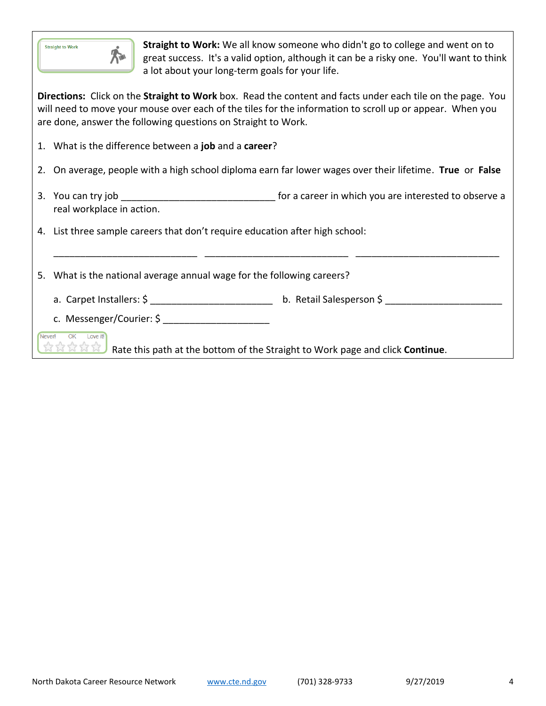| <b>Straight to Work</b> |  |
|-------------------------|--|
|                         |  |

**Straight to Work:** We all know someone who didn't go to college and went on to great success. It's a valid option, although it can be a risky one. You'll want to think a lot about your long-term goals for your life.

**Directions:** Click on the **Straight to Work** box. Read the content and facts under each tile on the page. You will need to move your mouse over each of the tiles for the information to scroll up or appear. When you are done, answer the following questions on Straight to Work.

- 1. What is the difference between a **job** and a **career**?
- 2. On average, people with a high school diploma earn far lower wages over their lifetime. **True** or **False**
- 3. You can try job \_\_\_\_\_\_\_\_\_\_\_\_\_\_\_\_\_\_\_\_\_\_\_\_\_\_\_\_\_ for a career in which you are interested to observe a real workplace in action.

\_\_\_\_\_\_\_\_\_\_\_\_\_\_\_\_\_\_\_\_\_\_\_\_\_\_\_ \_\_\_\_\_\_\_\_\_\_\_\_\_\_\_\_\_\_\_\_\_\_\_\_\_\_\_ \_\_\_\_\_\_\_\_\_\_\_\_\_\_\_\_\_\_\_\_\_\_\_\_\_\_\_

4. List three sample careers that don't require education after high school:

5. What is the national average annual wage for the following careers?

- a. Carpet Installers: \$ \_\_\_\_\_\_\_\_\_\_\_\_\_\_\_\_\_\_\_\_\_\_\_ b. Retail Salesperson \$ \_\_\_\_\_\_\_\_\_\_\_\_\_\_\_\_\_\_\_\_\_\_
- c. Messenger/Courier: \$

Never! OK Love it!

Rate this path at the bottom of the Straight to Work page and click **Continue**.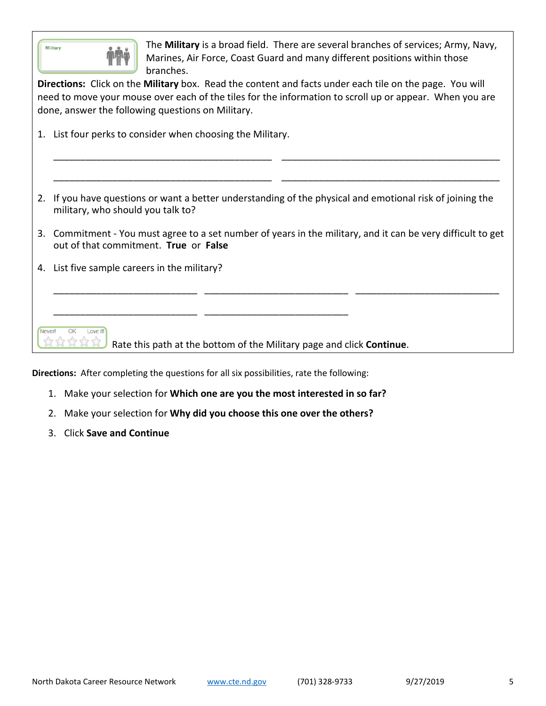| The Military is a broad field. There are several branches of services; Army, Navy,<br><b>Military</b><br>Marines, Air Force, Coast Guard and many different positions within those<br>branches.<br>Directions: Click on the Military box. Read the content and facts under each tile on the page. You will<br>need to move your mouse over each of the tiles for the information to scroll up or appear. When you are<br>done, answer the following questions on Military. |                                                                                                                                                          |  |  |  |
|----------------------------------------------------------------------------------------------------------------------------------------------------------------------------------------------------------------------------------------------------------------------------------------------------------------------------------------------------------------------------------------------------------------------------------------------------------------------------|----------------------------------------------------------------------------------------------------------------------------------------------------------|--|--|--|
| 1. List four perks to consider when choosing the Military.                                                                                                                                                                                                                                                                                                                                                                                                                 |                                                                                                                                                          |  |  |  |
|                                                                                                                                                                                                                                                                                                                                                                                                                                                                            |                                                                                                                                                          |  |  |  |
|                                                                                                                                                                                                                                                                                                                                                                                                                                                                            |                                                                                                                                                          |  |  |  |
| 2. If you have questions or want a better understanding of the physical and emotional risk of joining the<br>military, who should you talk to?                                                                                                                                                                                                                                                                                                                             |                                                                                                                                                          |  |  |  |
|                                                                                                                                                                                                                                                                                                                                                                                                                                                                            | Commitment - You must agree to a set number of years in the military, and it can be very difficult to get<br>3.<br>out of that commitment. True or False |  |  |  |
| 4.                                                                                                                                                                                                                                                                                                                                                                                                                                                                         | List five sample careers in the military?                                                                                                                |  |  |  |
|                                                                                                                                                                                                                                                                                                                                                                                                                                                                            |                                                                                                                                                          |  |  |  |
|                                                                                                                                                                                                                                                                                                                                                                                                                                                                            |                                                                                                                                                          |  |  |  |
| <b>Neverl</b><br>Love itl<br>Rate this path at the bottom of the Military page and click Continue.                                                                                                                                                                                                                                                                                                                                                                         |                                                                                                                                                          |  |  |  |

**Directions:** After completing the questions for all six possibilities, rate the following:

- 1. Make your selection for **Which one are you the most interested in so far?**
- 2. Make your selection for **Why did you choose this one over the others?**
- 3. Click **Save and Continue**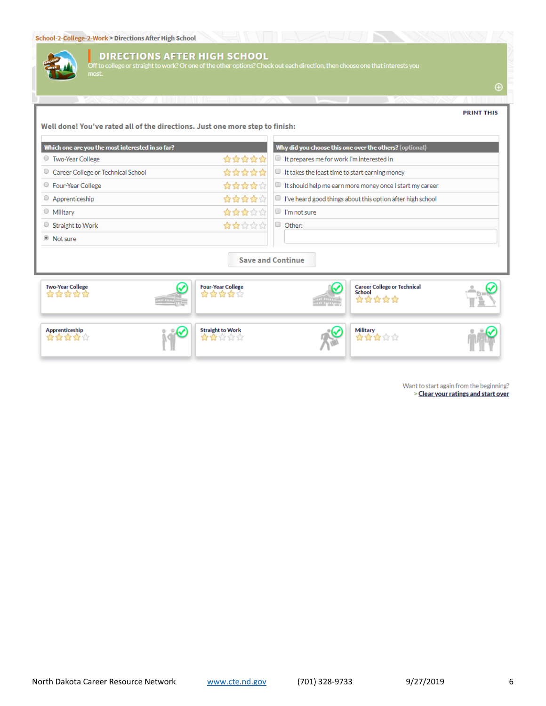

#### **DIRECTIONS AFTER HIGH SCHOOL**

k? Or one of the other options? Check out each direction, then choose one that interests you

 $\bigoplus$ 

#### **PRINT THIS** Well done! You've rated all of the directions. Just one more step to finish: Which one are you the most interested in so far? Why did you choose this one over the others? (optional) \*\*\*\*\* <sup>O</sup> Two-Year College  $\blacksquare$  It prepares me for work I'm interested in Career College or Technical School \*\*\*\*\* It takes the least time to start earning money O Four-Year College \*\*\*\*\* It should help me earn more money once I start my career Apprenticeship \*\*\*\*\*  $\Box$  I've heard good things about this option after high school O Military \*\*\*\*\* <sup>1</sup> I'm not sure  $\circ$  Straight to Work ☆☆☆☆☆ O Other: <sup>®</sup> Not sure **Save and Continue Two-Year College Four-Year College Career College or Technical**<br>School ⇙ ✓ \*\*\*\*\* **☆☆☆☆**☆ \*\*\*\*\* Military Apprenticeship **Straight to Work** \*\*\*\*\*  $\mathbf{r} = \mathbf{r} + \mathbf{r} + \mathbf{r} + \mathbf{r} + \mathbf{r} + \mathbf{r} + \mathbf{r} + \mathbf{r} + \mathbf{r} + \mathbf{r} + \mathbf{r} + \mathbf{r} + \mathbf{r} + \mathbf{r} + \mathbf{r} + \mathbf{r} + \mathbf{r} + \mathbf{r} + \mathbf{r} + \mathbf{r} + \mathbf{r} + \mathbf{r} + \mathbf{r} + \mathbf{r} + \mathbf{r} + \mathbf{r} + \mathbf{r} + \mathbf{r} + \mathbf{r} + \mathbf{r} + \mathbf$ \*\*\*\*\*

Want to start again from the beginning? > Clear your ratings and start over